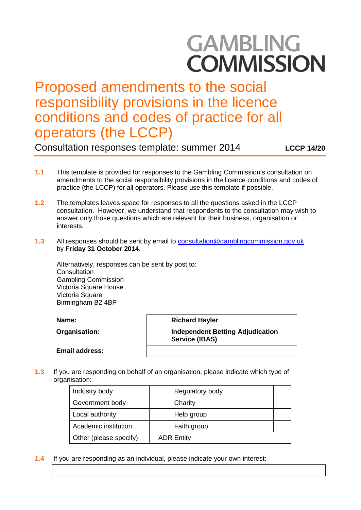# **GAMBLING COMMISSION**

# Proposed amendments to the social responsibility provisions in the licence conditions and codes of practice for all operators (the LCCP)

Consultation responses template: summer 2014 **LCCP 14/20**

- **1.1** This template is provided for responses to the Gambling Commission's consultation on amendments to the social responsibility provisions in the licence conditions and codes of practice (the LCCP) for all operators. Please use this template if possible.
- **1.2** The templates leaves space for responses to all the questions asked in the LCCP consultation. However, we understand that respondents to the consultation may wish to answer only those questions which are relevant for their business, organisation or interests.
- **1.3** All responses should be sent by email to [consultation@gamblingcommission.gov.uk](mailto:consultation@gamblingcommission.gov.uk) by **Friday 31 October 2014**.

Alternatively, responses can be sent by post to: **Consultation** Gambling Commission Victoria Square House Victoria Square Birmingham B2 4BP

**Name:**  $\vert$  Richard Hayler

**Organisation: Independent Betting Adjudication Service (IBAS)**

**Email address:** 

**1.3** If you are responding on behalf of an organisation, please indicate which type of organisation:

| Industry body          |                   | Regulatory body |  |
|------------------------|-------------------|-----------------|--|
| Government body        |                   | Charity         |  |
| Local authority        |                   | Help group      |  |
| Academic institution   |                   | Faith group     |  |
| Other (please specify) | <b>ADR Entity</b> |                 |  |

**1.4** If you are responding as an individual, please indicate your own interest: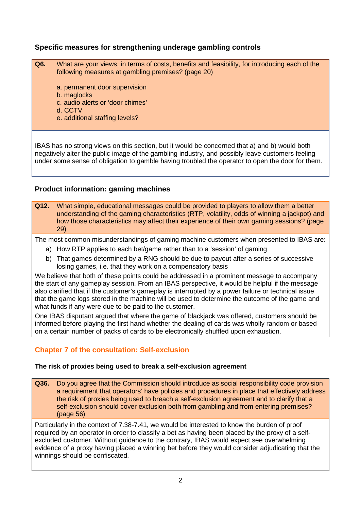### **Specific measures for strengthening underage gambling controls**

- **Q6.** What are your views, in terms of costs, benefits and feasibility, for introducing each of the following measures at gambling premises? (page 20)
	- a. permanent door supervision
	- b. maglocks
	- c. audio alerts or 'door chimes'
	- d. CCTV
	- e. additional staffing levels?

IBAS has no strong views on this section, but it would be concerned that a) and b) would both negatively alter the public image of the gambling industry, and possibly leave customers feeling under some sense of obligation to gamble having troubled the operator to open the door for them.

#### **Product information: gaming machines**

**Q12.** What simple, educational messages could be provided to players to allow them a better understanding of the gaming characteristics (RTP, volatility, odds of winning a jackpot) and how those characteristics may affect their experience of their own gaming sessions? (page 29)

The most common misunderstandings of gaming machine customers when presented to IBAS are:

- a) How RTP applies to each bet/game rather than to a 'session' of gaming
- b) That games determined by a RNG should be due to payout after a series of successive losing games, i.e. that they work on a compensatory basis

We believe that both of these points could be addressed in a prominent message to accompany the start of any gameplay session. From an IBAS perspective, it would be helpful if the message also clarified that if the customer's gameplay is interrupted by a power failure or technical issue that the game logs stored in the machine will be used to determine the outcome of the game and what funds if any were due to be paid to the customer.

One IBAS disputant argued that where the game of blackjack was offered, customers should be informed before playing the first hand whether the dealing of cards was wholly random or based on a certain number of packs of cards to be electronically shuffled upon exhaustion.

#### **Chapter 7 of the consultation: Self-exclusion**

#### **The risk of proxies being used to break a self-exclusion agreement**

**Q36.** Do you agree that the Commission should introduce as social responsibility code provision a requirement that operators' have policies and procedures in place that effectively address the risk of proxies being used to breach a self-exclusion agreement and to clarify that a self-exclusion should cover exclusion both from gambling and from entering premises? (page 56)

Particularly in the context of 7.38-7.41, we would be interested to know the burden of proof required by an operator in order to classify a bet as having been placed by the proxy of a selfexcluded customer. Without guidance to the contrary, IBAS would expect see overwhelming evidence of a proxy having placed a winning bet before they would consider adjudicating that the winnings should be confiscated.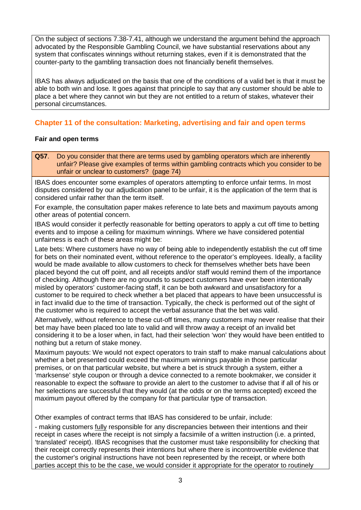On the subject of sections 7.38-7.41, although we understand the argument behind the approach advocated by the Responsible Gambling Council, we have substantial reservations about any system that confiscates winnings without returning stakes, even if it is demonstrated that the counter-party to the gambling transaction does not financially benefit themselves.

IBAS has always adjudicated on the basis that one of the conditions of a valid bet is that it must be able to both win and lose. It goes against that principle to say that any customer should be able to place a bet where they cannot win but they are not entitled to a return of stakes, whatever their personal circumstances.

## **Chapter 11 of the consultation: Marketing, advertising and fair and open terms**

#### **Fair and open terms**

**Q57**. Do you consider that there are terms used by gambling operators which are inherently unfair? Please give examples of terms within gambling contracts which you consider to be unfair or unclear to customers? (page 74)

IBAS does encounter some examples of operators attempting to enforce unfair terms. In most disputes considered by our adjudication panel to be unfair, it is the application of the term that is considered unfair rather than the term itself.

For example, the consultation paper makes reference to late bets and maximum payouts among other areas of potential concern.

IBAS would consider it perfectly reasonable for betting operators to apply a cut off time to betting events and to impose a ceiling for maximum winnings. Where we have considered potential unfairness is each of these areas might be:

Late bets: Where customers have no way of being able to independently establish the cut off time for bets on their nominated event, without reference to the operator's employees. Ideally, a facility would be made available to allow customers to check for themselves whether bets have been placed beyond the cut off point, and all receipts and/or staff would remind them of the importance of checking. Although there are no grounds to suspect customers have ever been intentionally misled by operators' customer-facing staff, it can be both awkward and unsatisfactory for a customer to be required to check whether a bet placed that appears to have been unsuccessful is in fact invalid due to the time of transaction. Typically, the check is performed out of the sight of the customer who is required to accept the verbal assurance that the bet was valid.

Alternatively, without reference to these cut-off times, many customers may never realise that their bet may have been placed too late to valid and will throw away a receipt of an invalid bet considering it to be a loser when, in fact, had their selection 'won' they would have been entitled to nothing but a return of stake money.

Maximum payouts: We would not expect operators to train staff to make manual calculations about whether a bet presented could exceed the maximum winnings payable in those particular premises, or on that particular website, but where a bet is struck through a system, either a 'marksense' style coupon or through a device connected to a remote bookmaker, we consider it reasonable to expect the software to provide an alert to the customer to advise that if all of his or her selections are successful that they would (at the odds or on the terms accepted) exceed the maximum payout offered by the company for that particular type of transaction.

Other examples of contract terms that IBAS has considered to be unfair, include:

- making customers fully responsible for any discrepancies between their intentions and their receipt in cases where the receipt is not simply a facsimile of a written instruction (i.e. a printed, 'translated' receipt). IBAS recognises that the customer must take responsibility for checking that their receipt correctly represents their intentions but where there is incontrovertible evidence that the customer's original instructions have not been represented by the receipt, or where both parties accept this to be the case, we would consider it appropriate for the operator to routinely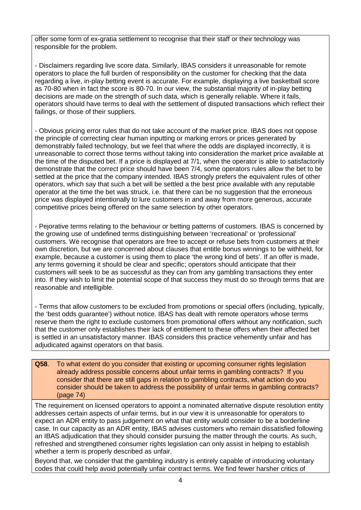offer some form of ex-gratia settlement to recognise that their staff or their technology was responsible for the problem.

- Disclaimers regarding live score data. Similarly, IBAS considers it unreasonable for remote operators to place the full burden of responsibility on the customer for checking that the data regarding a live, in-play betting event is accurate. For example, displaying a live basketball score as 70-80 when in fact the score is 80-70. In our view, the substantial majority of in-play betting decisions are made on the strength of such data, which is generally reliable. Where it fails, operators should have terms to deal with the settlement of disputed transactions which reflect their failings, or those of their suppliers.

- Obvious pricing error rules that do not take account of the market price. IBAS does not oppose the principle of correcting clear human inputting or marking errors or prices generated by demonstrably failed technology, but we feel that where the odds are displayed incorrectly, it is unreasonable to correct those terms without taking into consideration the market price available at the time of the disputed bet. If a price is displayed at 7/1, when the operator is able to satisfactorily demonstrate that the correct price should have been 7/4, some operators rules allow the bet to be settled at the price that the company intended. IBAS strongly prefers the equivalent rules of other operators, which say that such a bet will be settled a the best price available with any reputable operator at the time the bet was struck, i.e. that there can be no suggestion that the erroneous price was displayed intentionally to lure customers in and away from more generous, accurate competitive prices being offered on the same selection by other operators.

- Pejorative terms relating to the behaviour or betting patterns of customers. IBAS is concerned by the growing use of undefined terms distinguishing between 'recreational' or 'professional' customers. We recognise that operators are free to accept or refuse bets from customers at their own discretion, but we are concerned about clauses that entitle bonus winnings to be withheld, for example, because a customer is using them to place 'the wrong kind of bets'. If an offer is made, any terms governing it should be clear and specific; operators should anticipate that their customers will seek to be as successful as they can from any gambling transactions they enter into. If they wish to limit the potential scope of that success they must do so through terms that are reasonable and intelligible.

- Terms that allow customers to be excluded from promotions or special offers (including, typically, the 'best odds guarantee') without notice. IBAS has dealt with remote operators whose terms reserve them the right to exclude customers from promotional offers without any notification, such that the customer only establishes their lack of entitlement to these offers when their affected bet is settled in an unsatisfactory manner. IBAS considers this practice vehemently unfair and has adjudicated against operators on that basis.

**Q58**. To what extent do you consider that existing or upcoming consumer rights legislation already address possible concerns about unfair terms in gambling contracts? If you consider that there are still gaps in relation to gambling contracts, what action do you consider should be taken to address the possibility of unfair terms in gambling contracts? (page 74)

The requirement on licensed operators to appoint a nominated alternative dispute resolution entity addresses certain aspects of unfair terms, but in our view it is unreasonable for operators to expect an ADR entity to pass judgement on what that entity would consider to be a borderline case. In our capacity as an ADR entity, IBAS advises customers who remain dissatisfied following an IBAS adjudication that they should consider pursuing the matter through the courts. As such, refreshed and strengthened consumer rights legislation can only assist in helping to establish whether a term is properly described as unfair.

Beyond that, we consider that the gambling industry is entirely capable of introducing voluntary codes that could help avoid potentially unfair contract terms. We find fewer harsher critics of